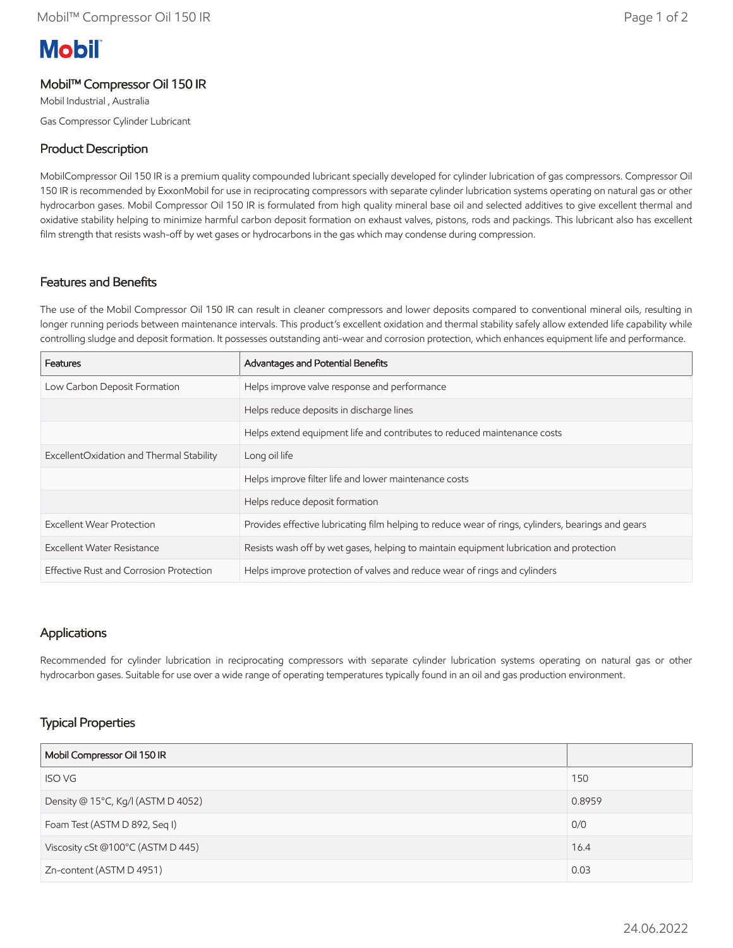# **Mobil**

### Mobil™ Compressor Oil 150 IR

Mobil Industrial , Australia Gas Compressor Cylinder Lubricant

# Product Description

MobilCompressor Oil 150 IR is a premium quality compounded lubricant specially developed for cylinder lubrication of gas compressors. Compressor Oil 150 IR is recommended by ExxonMobil for use in reciprocating compressors with separate cylinder lubrication systems operating on natural gas or other hydrocarbon gases. Mobil Compressor Oil 150 IR is formulated from high quality mineral base oil and selected additives to give excellent thermal and oxidative stability helping to minimize harmful carbon deposit formation on exhaust valves, pistons, rods and packings. This lubricant also has excellent film strength that resists wash-off by wet gases or hydrocarbons in the gas which may condense during compression.

#### Features and Benefits

The use of the Mobil Compressor Oil 150 IR can result in cleaner compressors and lower deposits compared to conventional mineral oils, resulting in longer running periods between maintenance intervals. This product's excellent oxidation and thermal stability safely allow extended life capability while controlling sludge and deposit formation. It possesses outstanding anti-wear and corrosion protection, which enhances equipment life and performance.

| Features                                 | Advantages and Potential Benefits                                                                  |
|------------------------------------------|----------------------------------------------------------------------------------------------------|
| Low Carbon Deposit Formation             | Helps improve valve response and performance                                                       |
|                                          | Helps reduce deposits in discharge lines                                                           |
|                                          | Helps extend equipment life and contributes to reduced maintenance costs                           |
| ExcellentOxidation and Thermal Stability | Long oil life                                                                                      |
|                                          | Helps improve filter life and lower maintenance costs                                              |
|                                          | Helps reduce deposit formation                                                                     |
| <b>Excellent Wear Protection</b>         | Provides effective lubricating film helping to reduce wear of rings, cylinders, bearings and gears |
| Excellent Water Resistance               | Resists wash off by wet gases, helping to maintain equipment lubrication and protection            |
| Effective Rust and Corrosion Protection  | Helps improve protection of valves and reduce wear of rings and cylinders                          |

#### Applications

Recommended for cylinder lubrication in reciprocating compressors with separate cylinder lubrication systems operating on natural gas or other hydrocarbon gases. Suitable for use over a wide range of operating temperatures typically found in an oil and gas production environment.

# Typical Properties

| Mobil Compressor Oil 150 IR        |        |
|------------------------------------|--------|
| <b>ISO VG</b>                      | 150    |
| Density @ 15°C, Kg/I (ASTM D 4052) | 0.8959 |
| Foam Test (ASTM D 892, Seq I)      | 0/0    |
| Viscosity cSt @100°C (ASTM D 445)  | 16.4   |
| Zn-content (ASTM D 4951)           | 0.03   |